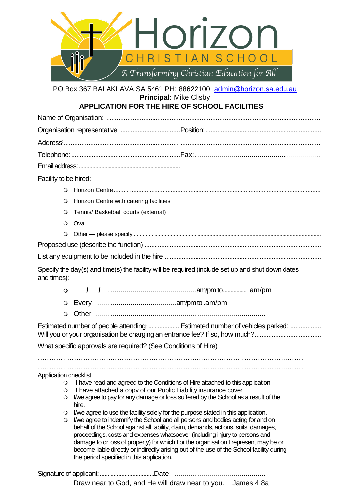

PO Box 367 BALAKLAVA SA 5461 PH: 88622100 [admin@horizon.sa.edu.au](mailto:admin@horizon.sa.edu.au) **Principal:** Mike Clisby

# **APPLICATION FOR THE HIRE OF SCHOOL FACILITIES**

Facility to be hired:

- Horizon Centre......... .....................................................................................................................
- Horizon Centre with catering facilities
- Tennis/ Basketball courts (external)
- O Oval
- Other please specify ..............................................................................................................................

Proposed use (describe the function) ........................................................................................................

List any equipment to be included in the hire ............................................................................................

Specify the day(s) and time(s) the facility will be required (include set up and shut down dates and times):

Other ......................................................................................

Estimated number of people attending ................... Estimated number of vehicles parked: ................ Will you or your organisation be charging an entrance fee? If so, how much?...................................

What specific approvals are required? (See Conditions of Hire)

……………………………………………………………………………………………………… ………………………………………………………………………………………………………

Application checklist:

- I have read and agreed to the Conditions of Hire attached to this application
- I have attached a copy of our Public Liability insurance cover
- I/we agree to pay for any damage or loss suffered by the School as a result of the hire.
- I/we agree to use the facility solely for the purpose stated in this application.
- I/we agree to indemnify the School and all persons and bodies acting for and on behalf of the School against all liability, claim, demands, actions, suits, damages, proceedings, costs and expenses whatsoever (including injury to persons and damage to or loss of property) for which I or the organisation I represent may be or become liable directly or indirectly arising out of the use of the School facility during the period specified in this application.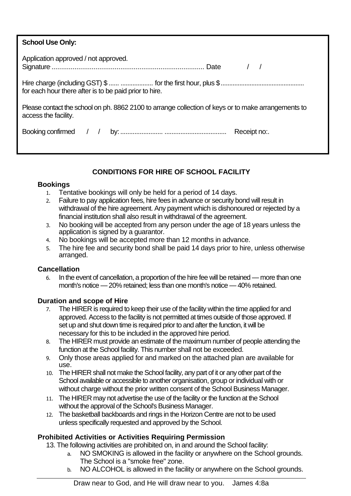| <b>School Use Only:</b>                                                                                                     |  |  |
|-----------------------------------------------------------------------------------------------------------------------------|--|--|
| Application approved / not approved.                                                                                        |  |  |
| for each hour there after is to be paid prior to hire.                                                                      |  |  |
| Please contact the school on ph. 8862 2100 to arrange collection of keys or to make arrangements to<br>access the facility. |  |  |
|                                                                                                                             |  |  |

## **CONDITIONS FOR HIRE OF SCHOOL FACILITY**

## **Bookings**

- 1. Tentative bookings will only be held for a period of 14 days.
- 2. Failure to pay application fees, hire fees in advance or security bond will result in withdrawal of the hire agreement. Any payment which is dishonoured or rejected by a financial institution shall also result in withdrawal of the agreement.
- 3. No booking will be accepted from any person under the age of 18 years unless the application is signed by a guarantor.
- 4. No bookings will be accepted more than 12 months in advance.
- 5. The hire fee and security bond shall be paid 14 days prior to hire, unless otherwise arranged.

#### **Cancellation**

6. In the event of cancellation, a proportion of the hire fee will be retained — more than one month's notice —20% retained; less than one month's notice — 40% retained.

## **Duration and scope of Hire**

- 7. The HIRER is required to keep their use of the facility within the time applied for and approved. Access to the facility is not permitted at times outside of those approved. If set up and shut down time is required prior to and after the function, it will be necessary for this to be included in the approved hire period.
- 8. The HIRER must provide an estimate of the maximum number of people attending the function at the School facility. This number shall not be exceeded.
- 9. Only those areas applied for and marked on the attached plan are available for use.
- 10. The HIRER shall not make the School facility, any part of it or any other part of the School available or accessible to another organisation, group or individual with or without charge without the prior written consent of the School Business Manager.
- 11. The HIRER may not advertise the use of the facility or the function at the School without the approval of the School's Business Manager.
- 12. The basketball backboards and rings in the Horizon Centre are not to be used unless specifically requested and approved by the School.

## **Prohibited Activities or Activities Requiring Permission**

- 13. The following activities are prohibited on, in and around the School facility:
	- a. NO SMOKING is allowed in the facility or anywhere on the School grounds. The School is a "smoke free" zone.
	- b. NO ALCOHOL is allowed in the facility or anywhere on the School grounds.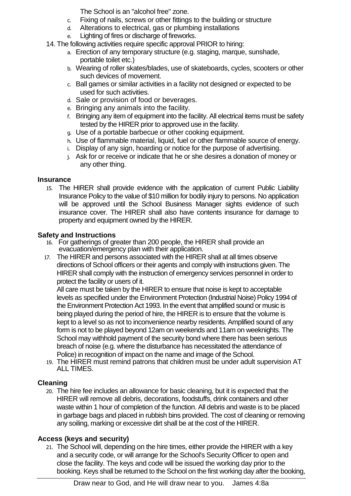The School is an "alcohol free" zone.

- c. Fixing of nails, screws or other fittings to the building or structure
- d. Alterations to electrical, gas or plumbing installations
- e. Lighting of fires or discharge of fireworks.
- 14. The following activities require specific approval PRIOR to hiring:
	- a. Erection of any temporary structure (e.g. staging, marque, sunshade, portable toilet etc.)
	- b. Wearing of roller skates/blades, use of skateboards, cycles, scooters or other such devices of movement.
	- c. Ball games or similar activities in a facility not designed or expected to be used for such activities.
	- d. Sale or provision of food or beverages.
	- e. Bringing any animals into the facility.
	- f. Bringing any item of equipment into the facility. All electrical items must be safety tested by the HIRER prior to approved use in the facility.
	- g. Use of a portable barbecue or other cooking equipment.
	- h. Use of flammable material, liquid, fuel or other flammable source of energy.
	- i. Display of any sign, hoarding or notice for the purpose of advertising.
	- j. Ask for or receive or indicate that he or she desires a donation of money or any other thing.

#### **Insurance**

15. The HIRER shall provide evidence with the application of current Public Liability Insurance Policy to the value of \$10 million for bodily injury to persons. No application will be approved until the School Business Manager sights evidence of such insurance cover. The HIRER shall also have contents insurance for damage to property and equipment owned by the HIRER.

## **Safety and Instructions**

- 16. For gatherings of greater than 200 people, the HIRER shall provide an evacuation/emergency plan with their application.
- 17. The HIRER and persons associated with the HIRER shall at all times observe directions of School officers or their agents and comply with instructions given. The HIRER shall comply with the instruction of emergency services personnel in order to protect the facility or users of it.

All care must be taken by the HIRER to ensure that noise is kept to acceptable levels as specified under the Environment Protection (Industrial Noise) Policy 1994 of the Environment Protection Act 1993. In the event that amplified sound or music is being played during the period of hire, the HIRER is to ensure that the volume is kept to a level so as not to inconvenience nearby residents. Amplified sound of any form is not to be played beyond 12am on weekends and 11am on weeknights. The School may withhold payment of the security bond where there has been serious breach of noise (e.g. where the disturbance has necessitated the attendance of Police) in recognition of impact on the name and image of the School.

19. The HIRER must remind patrons that children must be under adult supervision AT ALL TIMES.

## **Cleaning**

20. The hire fee includes an allowance for basic cleaning, but it is expected that the HIRER will remove all debris, decorations, foodstuffs, drink containers and other waste within 1 hour of completion of the function. All debris and waste is to be placed in garbage bags and placed in rubbish bins provided. The cost of cleaning or removing any soiling, marking or excessive dirt shall be at the cost of the HIRER.

## **Access (keys and security)**

21. The School will, depending on the hire times, either provide the HIRER with a key and a security code, or will arrange for the School's Security Officer to open and close the facility. The keys and code will be issued the working day prior to the booking. Keys shall be returned to the School on the first working day after the booking,